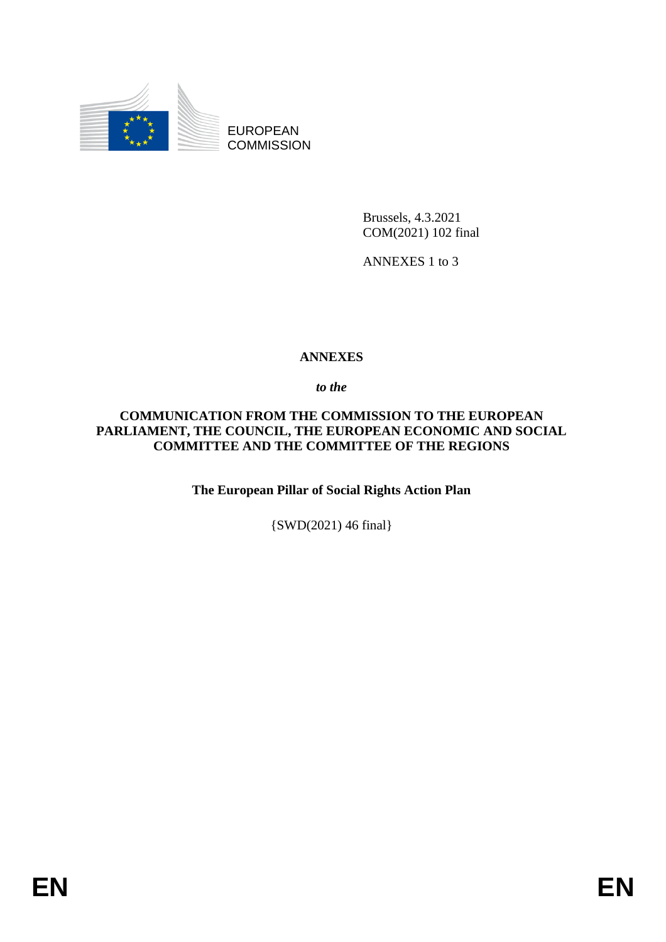

EUROPEAN **COMMISSION** 

> Brussels, 4.3.2021 COM(2021) 102 final

ANNEXES 1 to 3

# **ANNEXES**

*to the* 

### **COMMUNICATION FROM THE COMMISSION TO THE EUROPEAN PARLIAMENT, THE COUNCIL, THE EUROPEAN ECONOMIC AND SOCIAL COMMITTEE AND THE COMMITTEE OF THE REGIONS**

**The European Pillar of Social Rights Action Plan** 

{SWD(2021) 46 final}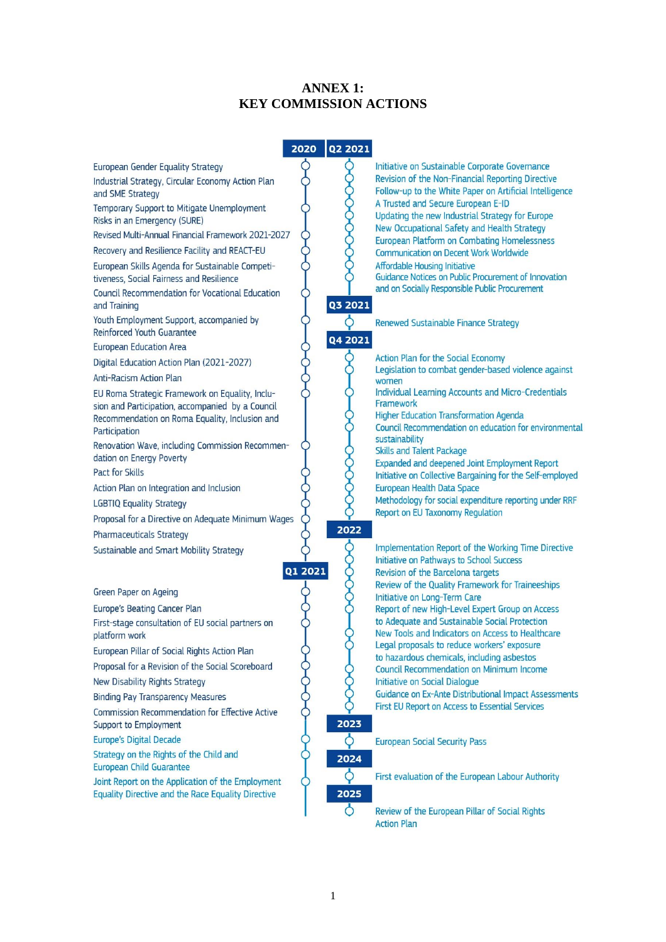#### **ANNEX 1: KEY COMMISSION ACTIONS**

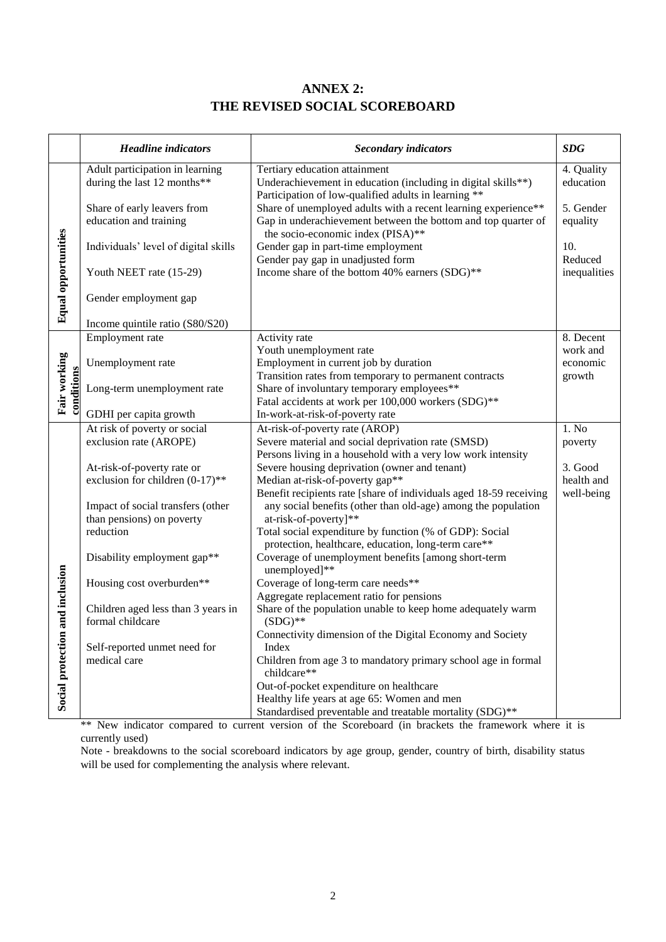## **ANNEX 2: THE REVISED SOCIAL SCOREBOARD**

|                                    | <b>Headline</b> indicators                                     | <b>Secondary indicators</b>                                                                                                                                          | <b>SDG</b>                     |
|------------------------------------|----------------------------------------------------------------|----------------------------------------------------------------------------------------------------------------------------------------------------------------------|--------------------------------|
| <b>Equal opportunities</b>         | Adult participation in learning<br>during the last 12 months** | Tertiary education attainment<br>Underachievement in education (including in digital skills**)<br>Participation of low-qualified adults in learning **               | 4. Quality<br>education        |
|                                    | Share of early leavers from<br>education and training          | Share of unemployed adults with a recent learning experience**<br>Gap in underachievement between the bottom and top quarter of<br>the socio-economic index (PISA)** | 5. Gender<br>equality          |
|                                    | Individuals' level of digital skills                           | Gender gap in part-time employment<br>Gender pay gap in unadjusted form                                                                                              | 10.<br>Reduced                 |
|                                    | Youth NEET rate (15-29)                                        | Income share of the bottom 40% earners (SDG)**                                                                                                                       | inequalities                   |
|                                    | Gender employment gap                                          |                                                                                                                                                                      |                                |
|                                    | Income quintile ratio (S80/S20)                                |                                                                                                                                                                      |                                |
| Fair working<br>conditions         | Employment rate                                                | Activity rate                                                                                                                                                        | 8. Decent                      |
|                                    | Unemployment rate                                              | Youth unemployment rate<br>Employment in current job by duration<br>Transition rates from temporary to permanent contracts                                           | work and<br>economic<br>growth |
|                                    | Long-term unemployment rate                                    | Share of involuntary temporary employees**<br>Fatal accidents at work per 100,000 workers (SDG)**                                                                    |                                |
|                                    | GDHI per capita growth                                         | In-work-at-risk-of-poverty rate                                                                                                                                      |                                |
|                                    | At risk of poverty or social                                   | At-risk-of-poverty rate (AROP)                                                                                                                                       | 1. No                          |
|                                    | exclusion rate (AROPE)                                         | Severe material and social deprivation rate (SMSD)<br>Persons living in a household with a very low work intensity                                                   | poverty                        |
|                                    | At-risk-of-poverty rate or                                     | Severe housing deprivation (owner and tenant)                                                                                                                        | 3. Good                        |
|                                    | exclusion for children $(0-17)$ **                             | Median at-risk-of-poverty gap**                                                                                                                                      | health and                     |
|                                    |                                                                | Benefit recipients rate [share of individuals aged 18-59 receiving                                                                                                   | well-being                     |
|                                    | Impact of social transfers (other                              | any social benefits (other than old-age) among the population                                                                                                        |                                |
|                                    | than pensions) on poverty                                      | at-risk-of-poverty]**                                                                                                                                                |                                |
| and inclusion<br>Social protection | reduction                                                      | Total social expenditure by function (% of GDP): Social<br>protection, healthcare, education, long-term care**                                                       |                                |
|                                    | Disability employment gap**                                    | Coverage of unemployment benefits [among short-term<br>unemployed]**                                                                                                 |                                |
|                                    | Housing cost overburden**                                      | Coverage of long-term care needs**                                                                                                                                   |                                |
|                                    | Children aged less than 3 years in<br>formal childcare         | Aggregate replacement ratio for pensions<br>Share of the population unable to keep home adequately warm<br>$(SDG)$ **                                                |                                |
|                                    |                                                                | Connectivity dimension of the Digital Economy and Society                                                                                                            |                                |
|                                    | Self-reported unmet need for<br>medical care                   | Index                                                                                                                                                                |                                |
|                                    |                                                                | Children from age 3 to mandatory primary school age in formal<br>childcare**                                                                                         |                                |
|                                    |                                                                | Out-of-pocket expenditure on healthcare                                                                                                                              |                                |
|                                    |                                                                | Healthy life years at age 65: Women and men                                                                                                                          |                                |
|                                    |                                                                | Standardised preventable and treatable mortality (SDG)**                                                                                                             |                                |

\*\* New indicator compared to current version of the Scoreboard (in brackets the framework where it is currently used)

Note - breakdowns to the social scoreboard indicators by age group, gender, country of birth, disability status will be used for complementing the analysis where relevant.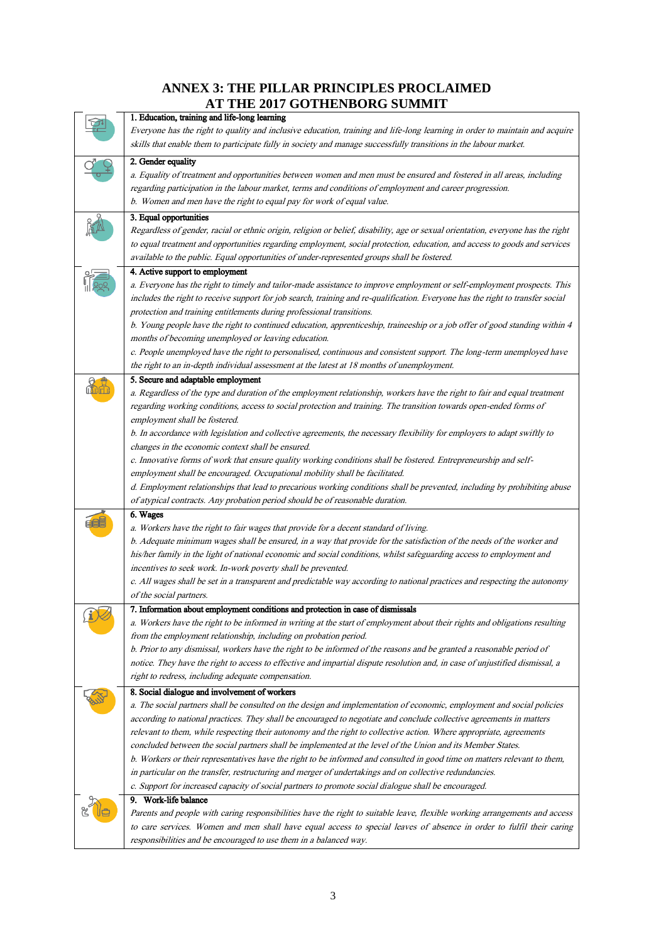### **ANNEX 3: THE PILLAR PRINCIPLES PROCLAIMED AT THE 2017 GOTHENBORG SUMMIT**

| <b>THE THE FOLL OCTTHER DONG DOME</b>                                                                                            |
|----------------------------------------------------------------------------------------------------------------------------------|
| 1. Education, training and life-long learning                                                                                    |
| Everyone has the right to quality and inclusive education, training and life-long learning in order to maintain and acquire      |
| skills that enable them to participate fully in society and manage successfully transitions in the labour market.                |
| 2. Gender equality                                                                                                               |
| a. Equality of treatment and opportunities between women and men must be ensured and fostered in all areas, including            |
| regarding participation in the labour market, terms and conditions of employment and career progression.                         |
| b. Women and men have the right to equal pay for work of equal value.                                                            |
| 3. Equal opportunities                                                                                                           |
| Regardless of gender, racial or ethnic origin, religion or belief, disability, age or sexual orientation, everyone has the right |
| to equal treatment and opportunities regarding employment, social protection, education, and access to goods and services        |
| available to the public. Equal opportunities of under-represented groups shall be fostered.                                      |
| 4. Active support to employment                                                                                                  |
| a. Everyone has the right to timely and tailor-made assistance to improve employment or self-employment prospects. This          |
| includes the right to receive support for job search, training and re-qualification. Everyone has the right to transfer social   |
| protection and training entitlements during professional transitions.                                                            |
| b. Young people have the right to continued education, apprenticeship, traineeship or a job offer of good standing within 4      |
| months of becoming unemployed or leaving education.                                                                              |
| c. People unemployed have the right to personalised, continuous and consistent support. The long-term unemployed have            |
| the right to an in-depth individual assessment at the latest at 18 months of unemployment.                                       |
| 5. Secure and adaptable employment                                                                                               |
| a. Regardless of the type and duration of the employment relationship, workers have the right to fair and equal treatment        |
| regarding working conditions, access to social protection and training. The transition towards open-ended forms of               |
| employment shall be fostered.                                                                                                    |
| b. In accordance with legislation and collective agreements, the necessary flexibility for employers to adapt swiftly to         |
| changes in the economic context shall be ensured.                                                                                |
| c. Innovative forms of work that ensure quality working conditions shall be fostered. Entrepreneurship and self-                 |
| employment shall be encouraged. Occupational mobility shall be facilitated.                                                      |
| d. Employment relationships that lead to precarious working conditions shall be prevented, including by prohibiting abuse        |
| of atypical contracts. Any probation period should be of reasonable duration.                                                    |
| 6. Wages                                                                                                                         |
| a. Workers have the right to fair wages that provide for a decent standard of living.                                            |
| b. Adequate minimum wages shall be ensured, in a way that provide for the satisfaction of the needs of the worker and            |
| his/her family in the light of national economic and social conditions, whilst safeguarding access to employment and             |
| incentives to seek work. In-work poverty shall be prevented.                                                                     |
| c. All wages shall be set in a transparent and predictable way according to national practices and respecting the autonomy       |
| of the social partners.                                                                                                          |
| 7. Information about employment conditions and protection in case of dismissals                                                  |
| a. Workers have the right to be informed in writing at the start of employment about their rights and obligations resulting      |
| from the employment relationship, including on probation period.                                                                 |
| b. Prior to any dismissal, workers have the right to be informed of the reasons and be granted a reasonable period of            |
| notice. They have the right to access to effective and impartial dispute resolution and, in case of unjustified dismissal, a     |
| right to redress, including adequate compensation.                                                                               |
| 8. Social dialogue and involvement of workers                                                                                    |
| a. The social partners shall be consulted on the design and implementation of economic, employment and social policies           |
| according to national practices. They shall be encouraged to negotiate and conclude collective agreements in matters             |
| relevant to them, while respecting their autonomy and the right to collective action. Where appropriate, agreements              |
| concluded between the social partners shall be implemented at the level of the Union and its Member States.                      |
|                                                                                                                                  |
|                                                                                                                                  |
| b. Workers or their representatives have the right to be informed and consulted in good time on matters relevant to them,        |
| in particular on the transfer, restructuring and merger of undertakings and on collective redundancies.                          |
| c. Support for increased capacity of social partners to promote social dialogue shall be encouraged.<br>9. Work-life balance     |
| Parents and people with caring responsibilities have the right to suitable leave, flexible working arrangements and access       |
| to care services. Women and men shall have equal access to special leaves of absence in order to fulfil their caring             |